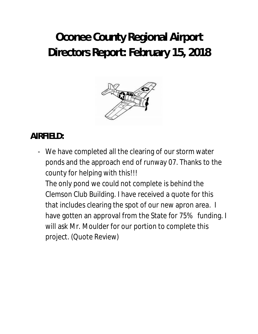# **Oconee County Regional Airport Directors Report: February 15, 2018**



# **AIRFIELD:**

- We have completed all the clearing of our storm water ponds and the approach end of runway 07. Thanks to the county for helping with this!!!

The only pond we could not complete is behind the Clemson Club Building. I have received a quote for this that includes clearing the spot of our new apron area. I have gotten an approval from the State for 75% funding. I will ask Mr. Moulder for our portion to complete this project. (Quote Review)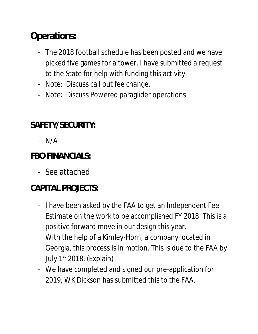# **Operations:**

- The 2018 football schedule has been posted and we have picked five games for a tower. I have submitted a request to the State for help with funding this activity.
- Note: Discuss call out fee change.
- Note: Discuss Powered paraglider operations.

# **SAFETY/SECURITY:**

- N/A

#### **FBO FINANCIALS:**

- See attached

# **CAPITAL PROJECTS:**

- I have been asked by the FAA to get an Independent Fee Estimate on the work to be accomplished FY 2018. This is a positive forward move in our design this year. With the help of a Kimley-Horn, a company located in Georgia, this process is in motion. This is due to the FAA by July  $1<sup>st</sup>$  2018. (Explain)
- We have completed and signed our pre-application for 2019, WK Dickson has submitted this to the FAA.